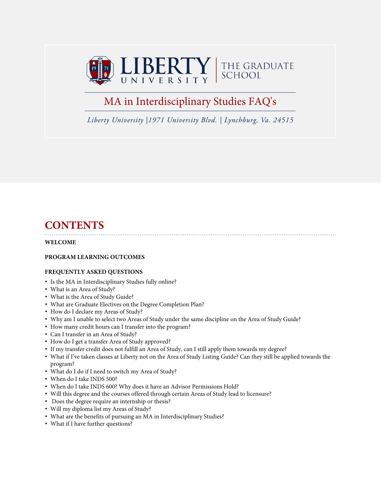

# MA in Interdisciplinary Studies FAQ's

*Liberty University |1971 University Blvd. | Lynchburg, Va. 24515*

# **CONTENTS**

#### **WELCOME**

#### **PROGRAM LEARNING OUTCOMES**

#### **FREQUENTLY ASKED QUESTIONS**

- Is the MA in Interdisciplinary Studies fully online?
- What is an Area of Study?
- What is the Area of Study Guide?
- What are Graduate Electives on the Degree Completion Plan?
- How do I declare my Areas of Study?
- Why am I unable to select two Areas of Study under the same discipline on the Area of Study Guide?
- How many credit hours can I transfer into the program?
- Can I transfer in an Area of Study?
- How do I get a transfer Area of Study approved?
- If my transfer credit does not fulfill an Area of Study, can I still apply them towards my degree?
- What if I've taken classes at Liberty not on the Area of Study Listing Guide? Can they still be applied towards the program?
- What do I do if I need to switch my Area of Study?
- When do I take INDS 500?
- When do I take INDS 600? Why does it have an Advisor Permissions Hold?
- Will this degree and the courses offered through certain Areas of Study lead to licensure?
- Does the degree require an internship or thesis?
- Will my diploma list my Areas of Study?
- What are the benefits of pursuing an MA in Interdisciplinary Studies?
- What if I have further questions?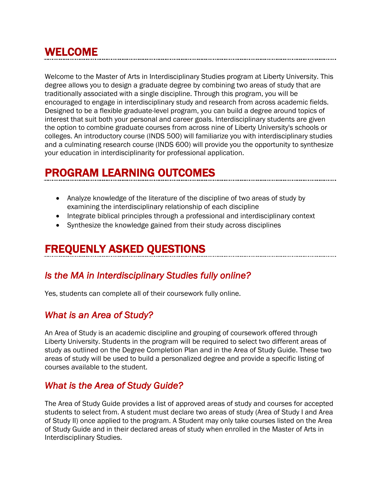# WELCOME

Welcome to the Master of Arts in Interdisciplinary Studies program at Liberty University. This degree allows you to design a graduate degree by combining two areas of study that are traditionally associated with a single discipline. Through this program, you will be encouraged to engage in interdisciplinary study and research from across academic fields. Designed to be a flexible graduate-level program, you can build a degree around topics of interest that suit both your personal and career goals. Interdisciplinary students are given the option to combine graduate courses from across nine of Liberty University's schools or colleges. An introductory course (INDS 500) will familiarize you with interdisciplinary studies and a culminating research course (INDS 600) will provide you the opportunity to synthesize your education in interdisciplinarity for professional application.

# PROGRAM LEARNING OUTCOMES

- Analyze knowledge of the literature of the discipline of two areas of study by examining the interdisciplinary relationship of each discipline
- Integrate biblical principles through a professional and interdisciplinary context
- Synthesize the knowledge gained from their study across disciplines

# FREQUENLY ASKED QUESTIONS

## *Is the MA in Interdisciplinary Studies fully online?*

Yes, students can complete all of their coursework fully online.

# *What is an Area of Study?*

An Area of Study is an academic discipline and grouping of coursework offered through Liberty University. Students in the program will be required to select two different areas of study as outlined on the Degree Completion Plan and in the Area of Study Guide. These two areas of study will be used to build a personalized degree and provide a specific listing of courses available to the student.

### *What is the Area of Study Guide?*

The Area of Study Guide provides a list of approved areas of study and courses for accepted students to select from. A student must declare two areas of study (Area of Study I and Area of Study II) once applied to the program. A Student may only take courses listed on the Area of Study Guide and in their declared areas of study when enrolled in the Master of Arts in Interdisciplinary Studies.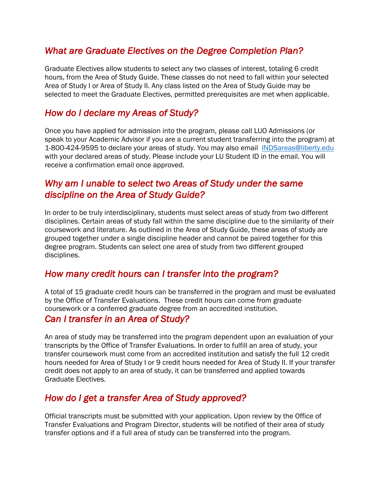# *What are Graduate Electives on the Degree Completion Plan?*

Graduate Electives allow students to select any two classes of interest, totaling 6 credit hours, from the Area of Study Guide. These classes do not need to fall within your selected Area of Study I or Area of Study II. Any class listed on the Area of Study Guide may be selected to meet the Graduate Electives, permitted prerequisites are met when applicable.

# *How do I declare my Areas of Study?*

Once you have applied for admission into the program, please call LUO Admissions (or speak to your Academic Advisor if you are a current student transferring into the program) at 1-800-424-9595 to declare your areas of study. You may also email INDSareas@liberty.edu with your declared areas of study. Please include your LU Student ID in the email. You will receive a confirmation email once approved.

# *Why am I unable to select two Areas of Study under the same discipline on the Area of Study Guide?*

In order to be truly interdisciplinary, students must select areas of study from two different disciplines. Certain areas of study fall within the same discipline due to the similarity of their coursework and literature. As outlined in the Area of Study Guide, these areas of study are grouped together under a single discipline header and cannot be paired together for this degree program. Students can select one area of study from two different grouped disciplines.

### *How many credit hours can I transfer into the program?*

A total of 15 graduate credit hours can be transferred in the program and must be evaluated by the Office of Transfer Evaluations. These credit hours can come from graduate coursework or a conferred graduate degree from an accredited institution.

### *Can I transfer in an Area of Study?*

An area of study may be transferred into the program dependent upon an evaluation of your transcripts by the Office of Transfer Evaluations. In order to fulfill an area of study, your transfer coursework must come from an accredited institution and satisfy the full 12 credit hours needed for Area of Study I or 9 credit hours needed for Area of Study II. If your transfer credit does not apply to an area of study, it can be transferred and applied towards Graduate Electives.

## *How do I get a transfer Area of Study approved?*

Official transcripts must be submitted with your application. Upon review by the Office of Transfer Evaluations and Program Director, students will be notified of their area of study transfer options and if a full area of study can be transferred into the program.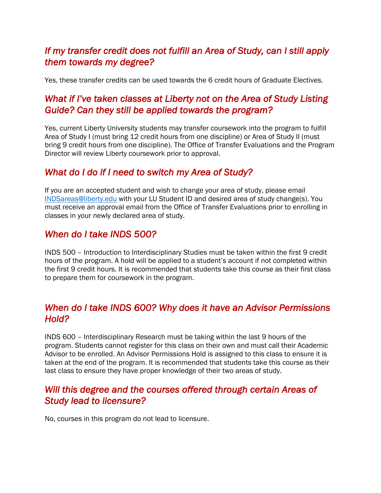# *If my transfer credit does not fulfill an Area of Study, can I still apply them towards my degree?*

Yes, these transfer credits can be used towards the 6 credit hours of Graduate Electives.

# *What if I've taken classes at Liberty not on the Area of Study Listing Guide? Can they still be applied towards the program?*

Yes, current Liberty University students may transfer coursework into the program to fulfill Area of Study I (must bring 12 credit hours from one discipline) or Area of Study II (must bring 9 credit hours from one discipline). The Office of Transfer Evaluations and the Program Director will review Liberty coursework prior to approval.

# *What do I do if I need to switch my Area of Study?*

If you are an accepted student and wish to change your area of study, please email INDSareas@liberty.edu with your LU Student ID and desired area of study change(s). You must receive an approval email from the Office of Transfer Evaluations prior to enrolling in classes in your newly declared area of study.

## *When do I take INDS 500?*

INDS 500 – Introduction to Interdisciplinary Studies must be taken within the first 9 credit hours of the program. A hold will be applied to a student's account if not completed within the first 9 credit hours. It is recommended that students take this course as their first class to prepare them for coursework in the program.

# *When do I take INDS 600? Why does it have an Advisor Permissions Hold?*

INDS 600 – Interdisciplinary Research must be taking within the last 9 hours of the program. Students cannot register for this class on their own and must call their Academic Advisor to be enrolled. An Advisor Permissions Hold is assigned to this class to ensure it is taken at the end of the program. It is recommended that students take this course as their last class to ensure they have proper knowledge of their two areas of study.

## *Will this degree and the courses offered through certain Areas of Study lead to licensure?*

No, courses in this program do not lead to licensure.